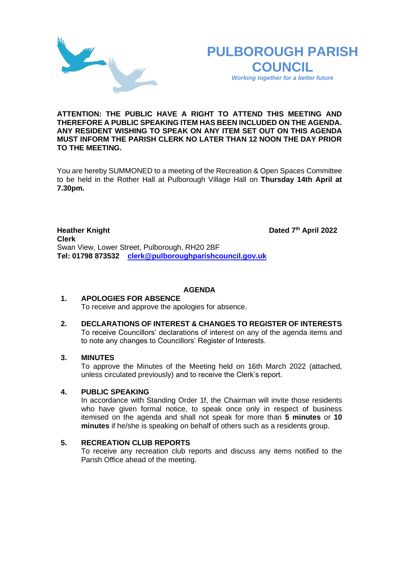



*Working together for a better future*

### **ATTENTION: THE PUBLIC HAVE A RIGHT TO ATTEND THIS MEETING AND THEREFORE A PUBLIC SPEAKING ITEM HAS BEEN INCLUDED ON THE AGENDA. ANY RESIDENT WISHING TO SPEAK ON ANY ITEM SET OUT ON THIS AGENDA MUST INFORM THE PARISH CLERK NO LATER THAN 12 NOON THE DAY PRIOR TO THE MEETING.**

You are hereby SUMMONED to a meeting of the Recreation & Open Spaces Committee to be held in the Rother Hall at Pulborough Village Hall on **Thursday 14th April at 7.30pm.** 

**Heather Knight th April 2022 Clerk**  Swan View, Lower Street, Pulborough, RH20 2BF **Tel: 01798 873532 [clerk@pulboroughparishcouncil.gov.uk](mailto:clerk@pulboroughparishcouncil.gov.uk)**

# **AGENDA**

#### **1. APOLOGIES FOR ABSENCE** To receive and approve the apologies for absence.

## **2. DECLARATIONS OF INTEREST & CHANGES TO REGISTER OF INTERESTS** To receive Councillors' declarations of interest on any of the agenda items and to note any changes to Councillors' Register of Interests.

# **3. MINUTES**

To approve the Minutes of the Meeting held on 16th March 2022 (attached, unless circulated previously) and to receive the Clerk's report.

# **4. PUBLIC SPEAKING**

In accordance with Standing Order 1f, the Chairman will invite those residents who have given formal notice, to speak once only in respect of business itemised on the agenda and shall not speak for more than **5 minutes** or **10 minutes** if he/she is speaking on behalf of others such as a residents group.

#### **5. RECREATION CLUB REPORTS**

To receive any recreation club reports and discuss any items notified to the Parish Office ahead of the meeting.